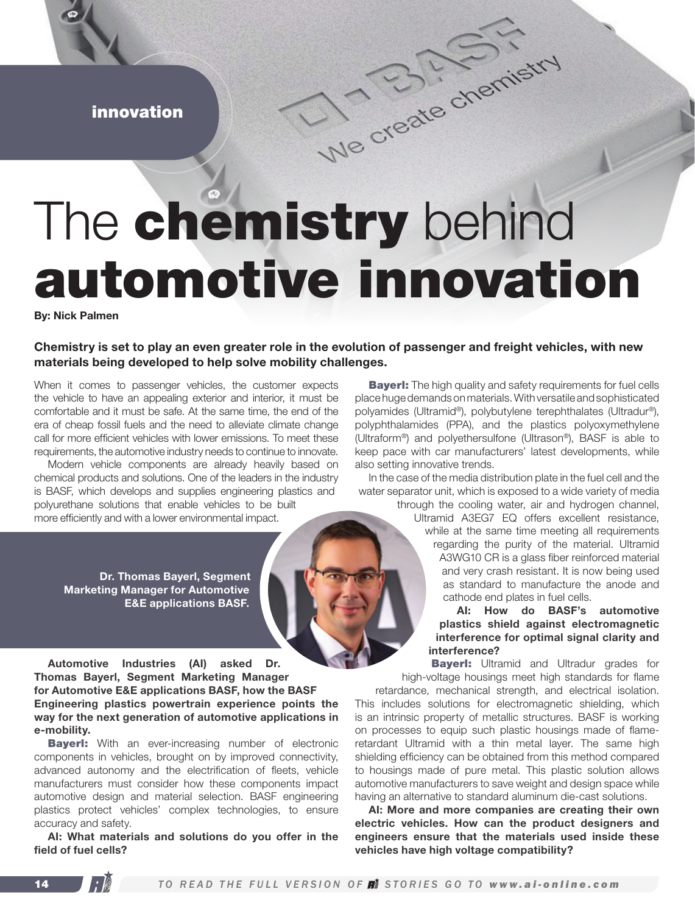innovation

## The chemistry behind automotive innovation

We create chemistry

By: Nick Palmen

## Chemistry is set to play an even greater role in the evolution of passenger and freight vehicles, with new materials being developed to help solve mobility challenges.

When it comes to passenger vehicles, the customer expects the vehicle to have an appealing exterior and interior, it must be comfortable and it must be safe. At the same time, the end of the era of cheap fossil fuels and the need to alleviate climate change call for more efficient vehicles with lower emissions. To meet these requirements, the automotive industry needs to continue to innovate.

Modern vehicle components are already heavily based on chemical products and solutions. One of the leaders in the industry is BASF, which develops and supplies engineering plastics and polyurethane solutions that enable vehicles to be built more efficiently and with a lower environmental impact.

Dr. Thomas Bayerl, Segment Marketing Manager for Automotive E&E applications BASF.

Automotive Industries (AI) asked Dr. Thomas Bayerl, Segment Marketing Manager for Automotive E&E applications BASF, how the BASF Engineering plastics powertrain experience points the way for the next generation of automotive applications in e-mobility.

**Bayerl:** With an ever-increasing number of electronic components in vehicles, brought on by improved connectivity, advanced autonomy and the electrification of fleets, vehicle manufacturers must consider how these components impact automotive design and material selection. BASF engineering plastics protect vehicles' complex technologies, to ensure accuracy and safety.

AI: What materials and solutions do you offer in the field of fuel cells?

**Bayerl:** The high quality and safety requirements for fuel cells place huge demands on materials. With versatile and sophisticated polyamides (Ultramid®), polybutylene terephthalates (Ultradur®), polyphthalamides (PPA), and the plastics polyoxymethylene (Ultraform®) and polyethersulfone (Ultrason®), BASF is able to keep pace with car manufacturers' latest developments, while also setting innovative trends.

In the case of the media distribution plate in the fuel cell and the water separator unit, which is exposed to a wide variety of media through the cooling water, air and hydrogen channel,

Ultramid A3EG7 EQ offers excellent resistance, while at the same time meeting all requirements regarding the purity of the material. Ultramid A3WG10 CR is a glass fiber reinforced material and very crash resistant. It is now being used as standard to manufacture the anode and cathode end plates in fuel cells.

AI: How do BASF's automotive plastics shield against electromagnetic interference for optimal signal clarity and interference?

**Bayerl:** Ultramid and Ultradur grades for high-voltage housings meet high standards for flame

retardance, mechanical strength, and electrical isolation. This includes solutions for electromagnetic shielding, which is an intrinsic property of metallic structures. BASF is working on processes to equip such plastic housings made of flameretardant Ultramid with a thin metal layer. The same high shielding efficiency can be obtained from this method compared to housings made of pure metal. This plastic solution allows automotive manufacturers to save weight and design space while having an alternative to standard aluminum die-cast solutions.

AI: More and more companies are creating their own electric vehicles. How can the product designers and engineers ensure that the materials used inside these vehicles have high voltage compatibility?